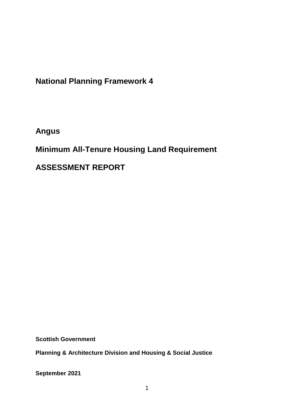**National Planning Framework 4**

**Angus**

**Minimum All-Tenure Housing Land Requirement** 

**ASSESSMENT REPORT**

**Scottish Government**

**Planning & Architecture Division and Housing & Social Justice** 

**September 2021**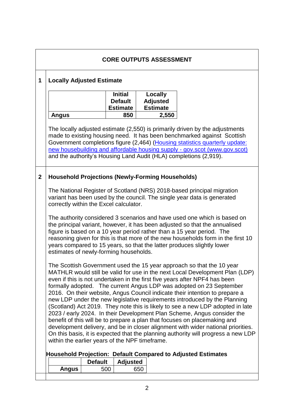| <b>CORE OUTPUTS ASSESSMENT</b>                                                                                                                                                                                                                                                                                                                                                                                                           |                                                                           |                                                                                                                                                                                                                                                                                                                                                                                                                                                                                                                                                                                                                                                                                                                                                                                                                                                                                                                                             |                |                                                     |                                               |  |  |  |  |
|------------------------------------------------------------------------------------------------------------------------------------------------------------------------------------------------------------------------------------------------------------------------------------------------------------------------------------------------------------------------------------------------------------------------------------------|---------------------------------------------------------------------------|---------------------------------------------------------------------------------------------------------------------------------------------------------------------------------------------------------------------------------------------------------------------------------------------------------------------------------------------------------------------------------------------------------------------------------------------------------------------------------------------------------------------------------------------------------------------------------------------------------------------------------------------------------------------------------------------------------------------------------------------------------------------------------------------------------------------------------------------------------------------------------------------------------------------------------------------|----------------|-----------------------------------------------------|-----------------------------------------------|--|--|--|--|
|                                                                                                                                                                                                                                                                                                                                                                                                                                          | 1                                                                         | <b>Locally Adjusted Estimate</b>                                                                                                                                                                                                                                                                                                                                                                                                                                                                                                                                                                                                                                                                                                                                                                                                                                                                                                            |                |                                                     |                                               |  |  |  |  |
|                                                                                                                                                                                                                                                                                                                                                                                                                                          |                                                                           |                                                                                                                                                                                                                                                                                                                                                                                                                                                                                                                                                                                                                                                                                                                                                                                                                                                                                                                                             |                | <b>Initial</b><br><b>Default</b><br><b>Estimate</b> | Locally<br><b>Adjusted</b><br><b>Estimate</b> |  |  |  |  |
|                                                                                                                                                                                                                                                                                                                                                                                                                                          |                                                                           | <b>Angus</b>                                                                                                                                                                                                                                                                                                                                                                                                                                                                                                                                                                                                                                                                                                                                                                                                                                                                                                                                |                | 850                                                 | 2,550                                         |  |  |  |  |
|                                                                                                                                                                                                                                                                                                                                                                                                                                          |                                                                           | The locally adjusted estimate (2,550) is primarily driven by the adjustments<br>made to existing housing need. It has been benchmarked against Scottish<br>Government completions figure (2,464) (Housing statistics quarterly update:<br>new housebuilding and affordable housing supply - gov.scot (www.gov.scot)<br>and the authority's Housing Land Audit (HLA) completions (2,919).                                                                                                                                                                                                                                                                                                                                                                                                                                                                                                                                                    |                |                                                     |                                               |  |  |  |  |
|                                                                                                                                                                                                                                                                                                                                                                                                                                          | $\overline{2}$<br><b>Household Projections (Newly-Forming Households)</b> |                                                                                                                                                                                                                                                                                                                                                                                                                                                                                                                                                                                                                                                                                                                                                                                                                                                                                                                                             |                |                                                     |                                               |  |  |  |  |
|                                                                                                                                                                                                                                                                                                                                                                                                                                          |                                                                           | The National Register of Scotland (NRS) 2018-based principal migration<br>variant has been used by the council. The single year data is generated<br>correctly within the Excel calculator.                                                                                                                                                                                                                                                                                                                                                                                                                                                                                                                                                                                                                                                                                                                                                 |                |                                                     |                                               |  |  |  |  |
| The authority considered 3 scenarios and have used one which is based on<br>the principal variant, however, it has been adjusted so that the annualised<br>figure is based on a 10 year period rather than a 15 year period. The<br>reasoning given for this is that more of the new households form in the first 10<br>years compared to 15 years, so that the latter produces slightly lower<br>estimates of newly-forming households. |                                                                           |                                                                                                                                                                                                                                                                                                                                                                                                                                                                                                                                                                                                                                                                                                                                                                                                                                                                                                                                             |                |                                                     |                                               |  |  |  |  |
|                                                                                                                                                                                                                                                                                                                                                                                                                                          |                                                                           | The Scottish Government used the 15 year approach so that the 10 year<br>MATHLR would still be valid for use in the next Local Development Plan (LDP)<br>even if this is not undertaken in the first five years after NPF4 has been<br>formally adopted. The current Angus LDP was adopted on 23 September<br>2016. On their website, Angus Council indicate their intention to prepare a<br>new LDP under the new legislative requirements introduced by the Planning<br>(Scotland) Act 2019. They note this is likely to see a new LDP adopted in late<br>2023 / early 2024. In their Development Plan Scheme, Angus consider the<br>benefit of this will be to prepare a plan that focuses on placemaking and<br>development delivery, and be in closer alignment with wider national priorities.<br>On this basis, it is expected that the planning authority will progress a new LDP<br>within the earlier years of the NPF timeframe. |                |                                                     |                                               |  |  |  |  |
|                                                                                                                                                                                                                                                                                                                                                                                                                                          | <b>Household Projection: Default Compared to Adjusted Estimates</b>       |                                                                                                                                                                                                                                                                                                                                                                                                                                                                                                                                                                                                                                                                                                                                                                                                                                                                                                                                             |                |                                                     |                                               |  |  |  |  |
|                                                                                                                                                                                                                                                                                                                                                                                                                                          |                                                                           |                                                                                                                                                                                                                                                                                                                                                                                                                                                                                                                                                                                                                                                                                                                                                                                                                                                                                                                                             | <b>Default</b> | <b>Adjusted</b>                                     |                                               |  |  |  |  |
|                                                                                                                                                                                                                                                                                                                                                                                                                                          |                                                                           | <b>Angus</b>                                                                                                                                                                                                                                                                                                                                                                                                                                                                                                                                                                                                                                                                                                                                                                                                                                                                                                                                | 500            |                                                     | 650                                           |  |  |  |  |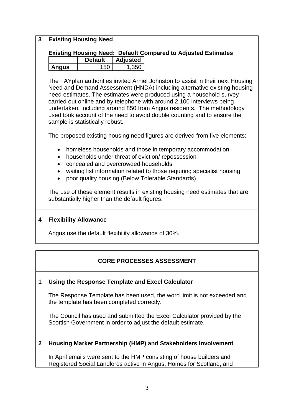| $\overline{3}$ | <b>Existing Housing Need</b>                                         |                                                                                                                           |                 |                                                                                                                                                                                                                                                                                                                                                                                                                                                                                                                                                                                                                                                                                                                                                                                                                                                                                 |  |  |  |  |  |
|----------------|----------------------------------------------------------------------|---------------------------------------------------------------------------------------------------------------------------|-----------------|---------------------------------------------------------------------------------------------------------------------------------------------------------------------------------------------------------------------------------------------------------------------------------------------------------------------------------------------------------------------------------------------------------------------------------------------------------------------------------------------------------------------------------------------------------------------------------------------------------------------------------------------------------------------------------------------------------------------------------------------------------------------------------------------------------------------------------------------------------------------------------|--|--|--|--|--|
|                | <b>Existing Housing Need: Default Compared to Adjusted Estimates</b> |                                                                                                                           |                 |                                                                                                                                                                                                                                                                                                                                                                                                                                                                                                                                                                                                                                                                                                                                                                                                                                                                                 |  |  |  |  |  |
|                |                                                                      | <b>Default</b>                                                                                                            | <b>Adjusted</b> |                                                                                                                                                                                                                                                                                                                                                                                                                                                                                                                                                                                                                                                                                                                                                                                                                                                                                 |  |  |  |  |  |
|                | <b>Angus</b>                                                         | 150                                                                                                                       | 1,350           |                                                                                                                                                                                                                                                                                                                                                                                                                                                                                                                                                                                                                                                                                                                                                                                                                                                                                 |  |  |  |  |  |
|                | $\bullet$<br>$\bullet$<br>$\bullet$<br>$\bullet$<br>$\bullet$        | sample is statistically robust.<br>concealed and overcrowded households<br>substantially higher than the default figures. |                 | The TAYplan authorities invited Arniel Johnston to assist in their next Housing<br>Need and Demand Assessment (HNDA) including alternative existing housing<br>need estimates. The estimates were produced using a household survey<br>carried out online and by telephone with around 2,100 interviews being<br>undertaken, including around 850 from Angus residents. The methodology<br>used took account of the need to avoid double counting and to ensure the<br>The proposed existing housing need figures are derived from five elements:<br>homeless households and those in temporary accommodation<br>households under threat of eviction/repossession<br>waiting list information related to those requiring specialist housing<br>poor quality housing (Below Tolerable Standards)<br>The use of these element results in existing housing need estimates that are |  |  |  |  |  |
| 4              | <b>Flexibility Allowance</b>                                         |                                                                                                                           |                 |                                                                                                                                                                                                                                                                                                                                                                                                                                                                                                                                                                                                                                                                                                                                                                                                                                                                                 |  |  |  |  |  |
|                | Angus use the default flexibility allowance of 30%.                  |                                                                                                                           |                 |                                                                                                                                                                                                                                                                                                                                                                                                                                                                                                                                                                                                                                                                                                                                                                                                                                                                                 |  |  |  |  |  |
|                |                                                                      |                                                                                                                           |                 |                                                                                                                                                                                                                                                                                                                                                                                                                                                                                                                                                                                                                                                                                                                                                                                                                                                                                 |  |  |  |  |  |
|                |                                                                      |                                                                                                                           |                 |                                                                                                                                                                                                                                                                                                                                                                                                                                                                                                                                                                                                                                                                                                                                                                                                                                                                                 |  |  |  |  |  |

# **CORE PROCESSES ASSESSMENT**

# **1 Using the Response Template and Excel Calculator**

The Response Template has been used, the word limit is not exceeded and the template has been completed correctly.

The Council has used and submitted the Excel Calculator provided by the Scottish Government in order to adjust the default estimate.

# **2 Housing Market Partnership (HMP) and Stakeholders Involvement**

In April emails were sent to the HMP consisting of house builders and Registered Social Landlords active in Angus, Homes for Scotland, and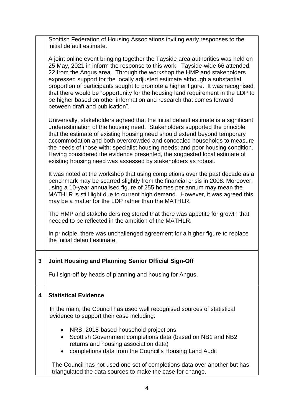Scottish Federation of Housing Associations inviting early responses to the initial default estimate.

A joint online event bringing together the Tayside area authorities was held on 25 May, 2021 in inform the response to this work. Tayside-wide 66 attended, 22 from the Angus area. Through the workshop the HMP and stakeholders expressed support for the locally adjusted estimate although a substantial proportion of participants sought to promote a higher figure. It was recognised that there would be "opportunity for the housing land requirement in the LDP to be higher based on other information and research that comes forward between draft and publication".

Universally, stakeholders agreed that the initial default estimate is a significant underestimation of the housing need. Stakeholders supported the principle that the estimate of existing housing need should extend beyond temporary accommodation and both overcrowded and concealed households to measure the needs of those with; specialist housing needs; and poor housing condition. Having considered the evidence presented, the suggested local estimate of existing housing need was assessed by stakeholders as robust.

It was noted at the workshop that using completions over the past decade as a benchmark may be scarred slightly from the financial crisis in 2008. Moreover, using a 10-year annualised figure of 255 homes per annum may mean the MATHLR is still light due to current high demand. However, it was agreed this may be a matter for the LDP rather than the MATHLR.

The HMP and stakeholders registered that there was appetite for growth that needed to be reflected in the ambition of the MATHLR.

In principle, there was unchallenged agreement for a higher figure to replace the initial default estimate.

## **3 Joint Housing and Planning Senior Official Sign-Off**

Full sign-off by heads of planning and housing for Angus.

### **4 Statistical Evidence**

In the main, the Council has used well recognised sources of statistical evidence to support their case including:

- NRS, 2018-based household projections
- Scottish Government completions data (based on NB1 and NB2 returns and housing association data)
- completions data from the Council's Housing Land Audit

The Council has not used one set of completions data over another but has triangulated the data sources to make the case for change.